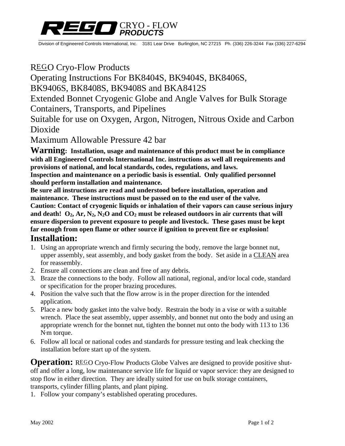

Division of Engineered Controls International, Inc. 3181 Lear Drive Burlington, NC 27215 Ph. (336) 226-3244 Fax (336) 227-6294

### REGO Cryo-Flow Products

Operating Instructions For BK8404S, BK9404S, BK8406S,

BK9406S, BK8408S, BK9408S and BKA8412S

Extended Bonnet Cryogenic Globe and Angle Valves for Bulk Storage

Containers, Transports, and Pipelines

Suitable for use on Oxygen, Argon, Nitrogen, Nitrous Oxide and Carbon Dioxide

Maximum Allowable Pressure 42 bar

**Warning: Installation, usage and maintenance of this product must be in compliance with all Engineered Controls International Inc. instructions as well all requirements and provisions of national, and local standards, codes, regulations, and laws.** 

**Inspection and maintenance on a periodic basis is essential. Only qualified personnel should perform installation and maintenance.** 

**Be sure all instructions are read and understood before installation, operation and maintenance. These instructions must be passed on to the end user of the valve. Caution: Contact of cryogenic liquids or inhalation of their vapors can cause serious injury**  and death!  $O_2$ ,  $Ar$ ,  $N_2$ ,  $N_2O$  and  $CO_2$  must be released outdoors in air currents that will **ensure dispersion to prevent exposure to people and livestock. These gases must be kept far enough from open flame or other source if ignition to prevent fire or explosion!** 

### **Installation:**

- 1. Using an appropriate wrench and firmly securing the body, remove the large bonnet nut, upper assembly, seat assembly, and body gasket from the body. Set aside in a CLEAN area for reassembly.
- 2. Ensure all connections are clean and free of any debris.
- 3. Braze the connections to the body. Follow all national, regional, and/or local code, standard or specification for the proper brazing procedures.
- 4. Position the valve such that the flow arrow is in the proper direction for the intended application.
- 5. Place a new body gasket into the valve body. Restrain the body in a vise or with a suitable wrench. Place the seat assembly, upper assembly, and bonnet nut onto the body and using an appropriate wrench for the bonnet nut, tighten the bonnet nut onto the body with 113 to 136 N**.** m torque.
- 6. Follow all local or national codes and standards for pressure testing and leak checking the installation before start up of the system.

**Operation:** REGO Cryo-Flow Products Globe Valves are designed to provide positive shutoff and offer a long, low maintenance service life for liquid or vapor service: they are designed to stop flow in either direction. They are ideally suited for use on bulk storage containers, transports, cylinder filling plants, and plant piping.

1. Follow your company's established operating procedures.